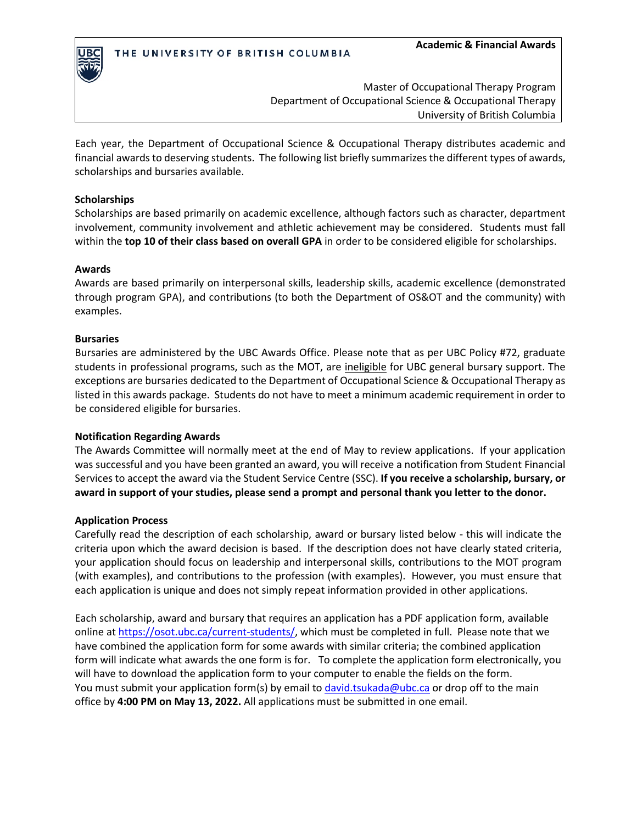

Master of Occupational Therapy Program Department of Occupational Science & Occupational Therapy University of British Columbia

Each year, the Department of Occupational Science & Occupational Therapy distributes academic and financial awards to deserving students. The following list briefly summarizes the different types of awards, scholarships and bursaries available.

## **Scholarships**

Scholarships are based primarily on academic excellence, although factors such as character, department involvement, community involvement and athletic achievement may be considered. Students must fall within the **top 10 of their class based on overall GPA** in order to be considered eligible for scholarships.

## **Awards**

Awards are based primarily on interpersonal skills, leadership skills, academic excellence (demonstrated through program GPA), and contributions (to both the Department of OS&OT and the community) with examples.

## **Bursaries**

Bursaries are administered by the UBC Awards Office. Please note that as per UBC Policy #72, graduate students in professional programs, such as the MOT, are ineligible for UBC general bursary support. The exceptions are bursaries dedicated to the Department of Occupational Science & Occupational Therapy as listed in this awards package. Students do not have to meet a minimum academic requirement in order to be considered eligible for bursaries.

## **Notification Regarding Awards**

The Awards Committee will normally meet at the end of May to review applications. If your application was successful and you have been granted an award, you will receive a notification from Student Financial Services to accept the award via the Student Service Centre (SSC). **If you receive a scholarship, bursary, or award in support of your studies, please send a prompt and personal thank you letter to the donor.** 

## **Application Process**

Carefully read the description of each scholarship, award or bursary listed below - this will indicate the criteria upon which the award decision is based. If the description does not have clearly stated criteria, your application should focus on leadership and interpersonal skills, contributions to the MOT program (with examples), and contributions to the profession (with examples). However, you must ensure that each application is unique and does not simply repeat information provided in other applications.

Each scholarship, award and bursary that requires an application has a PDF application form, available online at [https://osot.ubc.ca/current-students/,](https://osot.ubc.ca/current-students/) which must be completed in full. Please note that we have combined the application form for some awards with similar criteria; the combined application form will indicate what awards the one form is for. To complete the application form electronically, you will have to download the application form to your computer to enable the fields on the form. You must submit your application form(s) by email to [david.tsukada@ubc.ca](mailto:david.tsukada@ubc.ca) or drop off to the main office by **4:00 PM on May 13, 2022.** All applications must be submitted in one email.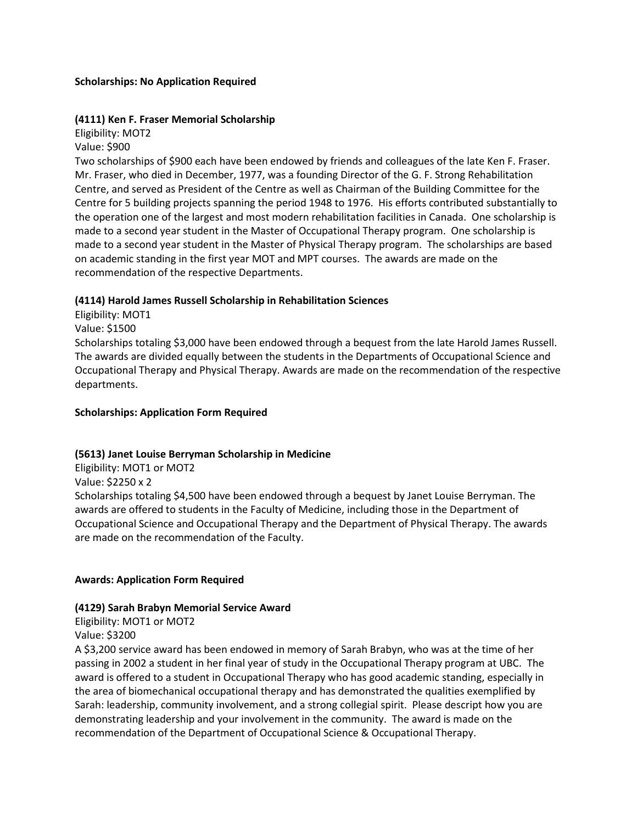## **Scholarships: No Application Required**

#### **(4111) Ken F. Fraser Memorial Scholarship**

Eligibility: MOT2 Value: \$900

Two scholarships of \$900 each have been endowed by friends and colleagues of the late Ken F. Fraser. Mr. Fraser, who died in December, 1977, was a founding Director of the G. F. Strong Rehabilitation Centre, and served as President of the Centre as well as Chairman of the Building Committee for the Centre for 5 building projects spanning the period 1948 to 1976. His efforts contributed substantially to the operation one of the largest and most modern rehabilitation facilities in Canada. One scholarship is made to a second year student in the Master of Occupational Therapy program. One scholarship is made to a second year student in the Master of Physical Therapy program. The scholarships are based on academic standing in the first year MOT and MPT courses. The awards are made on the recommendation of the respective Departments.

#### **(4114) Harold James Russell Scholarship in Rehabilitation Sciences**

Eligibility: MOT1

Value: \$1500

Scholarships totaling \$3,000 have been endowed through a bequest from the late Harold James Russell. The awards are divided equally between the students in the Departments of Occupational Science and Occupational Therapy and Physical Therapy. Awards are made on the recommendation of the respective departments.

#### **Scholarships: Application Form Required**

## **(5613) Janet Louise Berryman Scholarship in Medicine**

Eligibility: MOT1 or MOT2

Value: \$2250 x 2

Scholarships totaling \$4,500 have been endowed through a bequest by Janet Louise Berryman. The awards are offered to students in the Faculty of Medicine, including those in the Department of Occupational Science and Occupational Therapy and the Department of Physical Therapy. The awards are made on the recommendation of the Faculty.

#### **Awards: Application Form Required**

#### **(4129) Sarah Brabyn Memorial Service Award**

Eligibility: MOT1 or MOT2 Value: \$3200

A \$3,200 service award has been endowed in memory of Sarah Brabyn, who was at the time of her passing in 2002 a student in her final year of study in the Occupational Therapy program at UBC. The award is offered to a student in Occupational Therapy who has good academic standing, especially in the area of biomechanical occupational therapy and has demonstrated the qualities exemplified by Sarah: leadership, community involvement, and a strong collegial spirit. Please descript how you are demonstrating leadership and your involvement in the community. The award is made on the recommendation of the Department of Occupational Science & Occupational Therapy.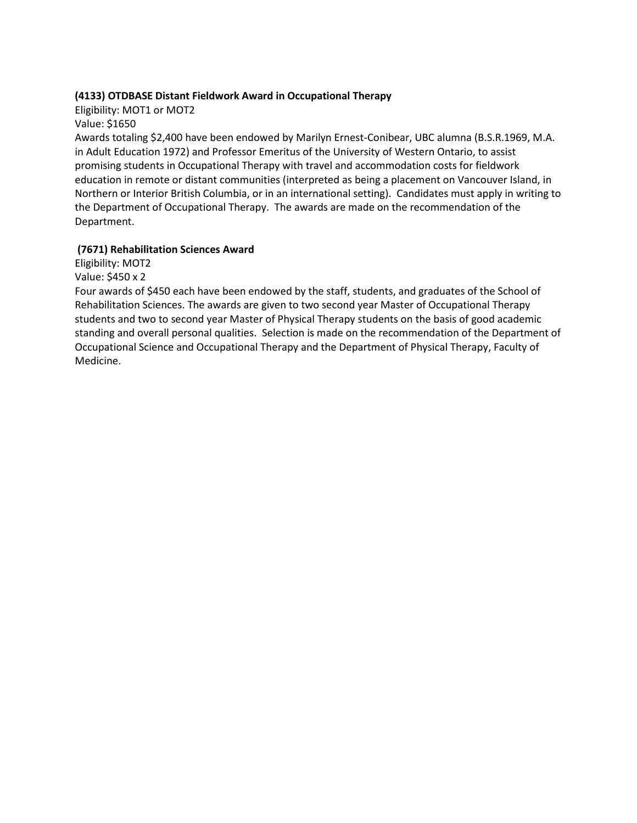## **(4133) OTDBASE Distant Fieldwork Award in Occupational Therapy**

Eligibility: MOT1 or MOT2

Value: \$1650

Awards totaling \$2,400 have been endowed by Marilyn Ernest-Conibear, UBC alumna (B.S.R.1969, M.A. in Adult Education 1972) and Professor Emeritus of the University of Western Ontario, to assist promising students in Occupational Therapy with travel and accommodation costs for fieldwork education in remote or distant communities (interpreted as being a placement on Vancouver Island, in Northern or Interior British Columbia, or in an international setting). Candidates must apply in writing to the Department of Occupational Therapy. The awards are made on the recommendation of the Department.

# **(7671) Rehabilitation Sciences Award**

Eligibility: MOT2 Value: \$450 x 2

Four awards of \$450 each have been endowed by the staff, students, and graduates of the School of Rehabilitation Sciences. The awards are given to two second year Master of Occupational Therapy students and two to second year Master of Physical Therapy students on the basis of good academic standing and overall personal qualities. Selection is made on the recommendation of the Department of Occupational Science and Occupational Therapy and the Department of Physical Therapy, Faculty of Medicine.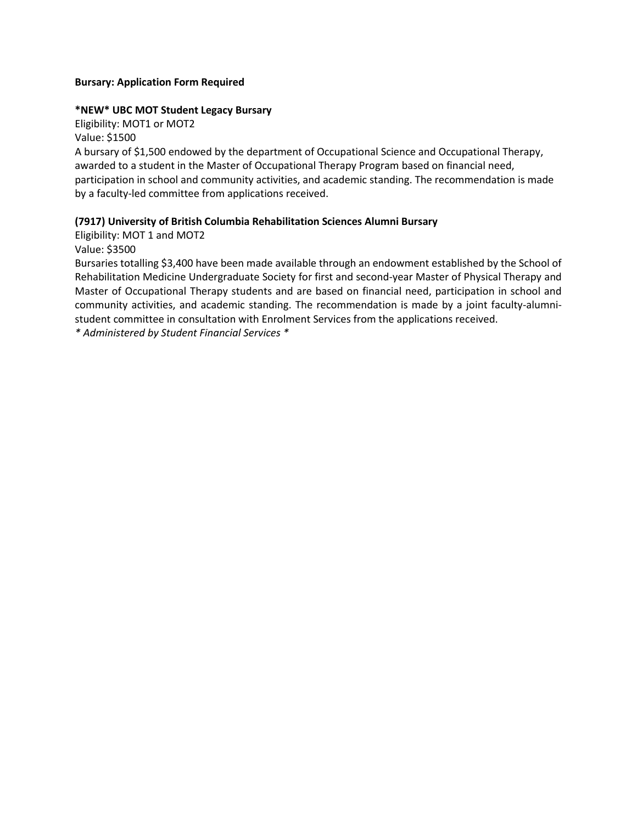## **Bursary: Application Form Required**

## **\*NEW\* UBC MOT Student Legacy Bursary**

Eligibility: MOT1 or MOT2 Value: \$1500

A bursary of \$1,500 endowed by the department of Occupational Science and Occupational Therapy, awarded to a student in the Master of Occupational Therapy Program based on financial need, participation in school and community activities, and academic standing. The recommendation is made by a faculty-led committee from applications received.

# **(7917) University of British Columbia Rehabilitation Sciences Alumni Bursary**

Eligibility: MOT 1 and MOT2 Value: \$3500

Bursaries totalling \$3,400 have been made available through an endowment established by the School of Rehabilitation Medicine Undergraduate Society for first and second-year Master of Physical Therapy and Master of Occupational Therapy students and are based on financial need, participation in school and community activities, and academic standing. The recommendation is made by a joint faculty-alumnistudent committee in consultation with Enrolment Services from the applications received.

*\* Administered by Student Financial Services \**